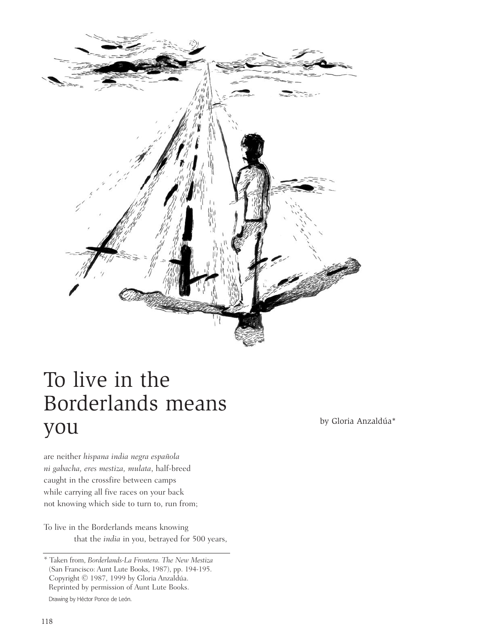

## To live in the Borderlands means  $\gamma$ OU by Gloria Anzaldúa $^*$

are neither *hispana india negra española ni gabacha, eres mestiza, mulata*, half-breed caught in the crossfire between camps while carrying all five races on your back not knowing which side to turn to, run from;

To live in the Borderlands means knowing that the *india* in you, betrayed for 500 years,

<sup>\*</sup> Taken from, *Borderlands-La Frontera. The New Mestiza* (San Francisco: Aunt Lute Books, 1987), pp. 194-195. Copyright © 1987, 1999 by Gloria Anzaldúa. Reprinted by permission of Aunt Lute Books. Drawing by Héctor Ponce de León.